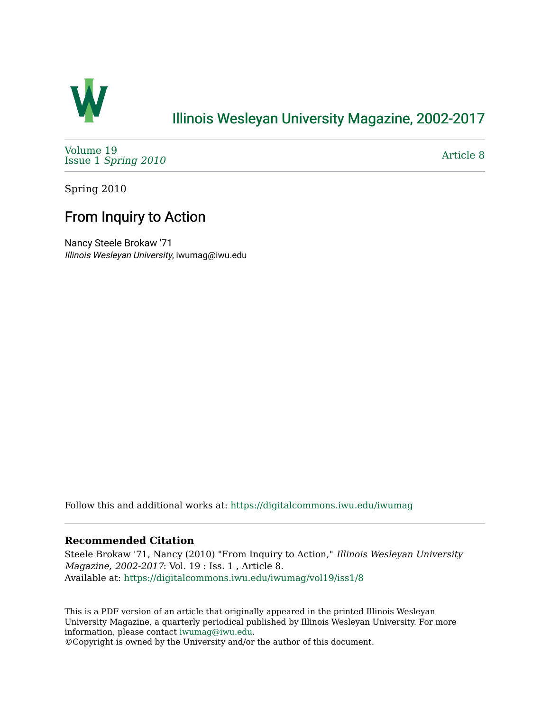

### [Illinois Wesleyan University Magazine, 2002-2017](https://digitalcommons.iwu.edu/iwumag)

[Volume 19](https://digitalcommons.iwu.edu/iwumag/vol19)  Issue 1 [Spring 2010](https://digitalcommons.iwu.edu/iwumag/vol19/iss1)

[Article 8](https://digitalcommons.iwu.edu/iwumag/vol19/iss1/8) 

Spring 2010

## From Inquiry to Action

Nancy Steele Brokaw '71 Illinois Wesleyan University, iwumag@iwu.edu

Follow this and additional works at: [https://digitalcommons.iwu.edu/iwumag](https://digitalcommons.iwu.edu/iwumag?utm_source=digitalcommons.iwu.edu%2Fiwumag%2Fvol19%2Fiss1%2F8&utm_medium=PDF&utm_campaign=PDFCoverPages) 

#### **Recommended Citation**

Steele Brokaw '71, Nancy (2010) "From Inquiry to Action," Illinois Wesleyan University Magazine, 2002-2017: Vol. 19 : Iss. 1 , Article 8. Available at: [https://digitalcommons.iwu.edu/iwumag/vol19/iss1/8](https://digitalcommons.iwu.edu/iwumag/vol19/iss1/8?utm_source=digitalcommons.iwu.edu%2Fiwumag%2Fvol19%2Fiss1%2F8&utm_medium=PDF&utm_campaign=PDFCoverPages)

This is a PDF version of an article that originally appeared in the printed Illinois Wesleyan University Magazine, a quarterly periodical published by Illinois Wesleyan University. For more information, please contact [iwumag@iwu.edu](mailto:iwumag@iwu.edu).

©Copyright is owned by the University and/or the author of this document.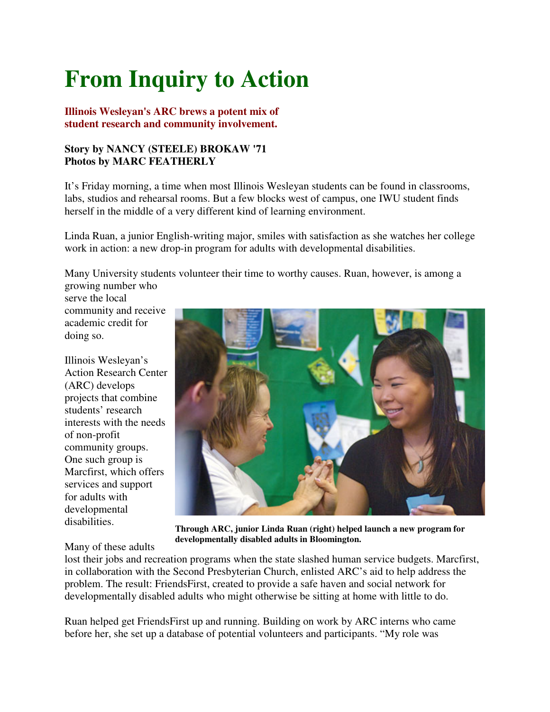# **From Inquiry to Action**

### **Illinois Wesleyan's ARC brews a potent mix of student research and community involvement.**

### **Story by NANCY (STEELE) BROKAW '71 Photos by MARC FEATHERLY**

It's Friday morning, a time when most Illinois Wesleyan students can be found in classrooms, labs, studios and rehearsal rooms. But a few blocks west of campus, one IWU student finds herself in the middle of a very different kind of learning environment.

Linda Ruan, a junior English-writing major, smiles with satisfaction as she watches her college work in action: a new drop-in program for adults with developmental disabilities.

Many University students volunteer their time to worthy causes. Ruan, however, is among a growing number who

serve the local community and receive academic credit for doing so.

Illinois Wesleyan's Action Research Center (ARC) develops projects that combine students' research interests with the needs of non-profit community groups. One such group is Marcfirst, which offers services and support for adults with developmental disabilities.



**Through ARC, junior Linda Ruan (right) helped launch a new program for developmentally disabled adults in Bloomington.**

Many of these adults

lost their jobs and recreation programs when the state slashed human service budgets. Marcfirst, in collaboration with the Second Presbyterian Church, enlisted ARC's aid to help address the problem. The result: FriendsFirst, created to provide a safe haven and social network for developmentally disabled adults who might otherwise be sitting at home with little to do.

Ruan helped get FriendsFirst up and running. Building on work by ARC interns who came before her, she set up a database of potential volunteers and participants. "My role was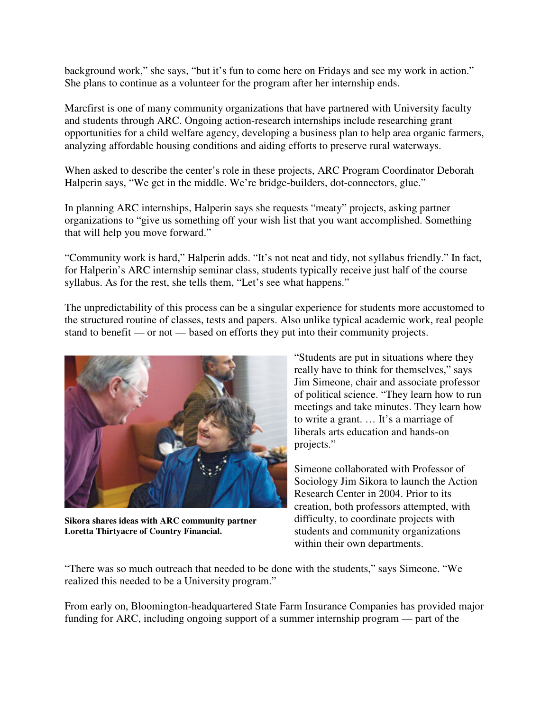background work," she says, "but it's fun to come here on Fridays and see my work in action." She plans to continue as a volunteer for the program after her internship ends.

Marcfirst is one of many community organizations that have partnered with University faculty and students through ARC. Ongoing action-research internships include researching grant opportunities for a child welfare agency, developing a business plan to help area organic farmers, analyzing affordable housing conditions and aiding efforts to preserve rural waterways.

When asked to describe the center's role in these projects, ARC Program Coordinator Deborah Halperin says, "We get in the middle. We're bridge-builders, dot-connectors, glue."

In planning ARC internships, Halperin says she requests "meaty" projects, asking partner organizations to "give us something off your wish list that you want accomplished. Something that will help you move forward."

"Community work is hard," Halperin adds. "It's not neat and tidy, not syllabus friendly." In fact, for Halperin's ARC internship seminar class, students typically receive just half of the course syllabus. As for the rest, she tells them, "Let's see what happens."

The unpredictability of this process can be a singular experience for students more accustomed to the structured routine of classes, tests and papers. Also unlike typical academic work, real people stand to benefit — or not — based on efforts they put into their community projects.



**Sikora shares ideas with ARC community partner Loretta Thirtyacre of Country Financial.**

"Students are put in situations where they really have to think for themselves," says Jim Simeone, chair and associate professor of political science. "They learn how to run meetings and take minutes. They learn how to write a grant. … It's a marriage of liberals arts education and hands-on projects."

Simeone collaborated with Professor of Sociology Jim Sikora to launch the Action Research Center in 2004. Prior to its creation, both professors attempted, with difficulty, to coordinate projects with students and community organizations within their own departments.

"There was so much outreach that needed to be done with the students," says Simeone. "We realized this needed to be a University program."

From early on, Bloomington-headquartered State Farm Insurance Companies has provided major funding for ARC, including ongoing support of a summer internship program — part of the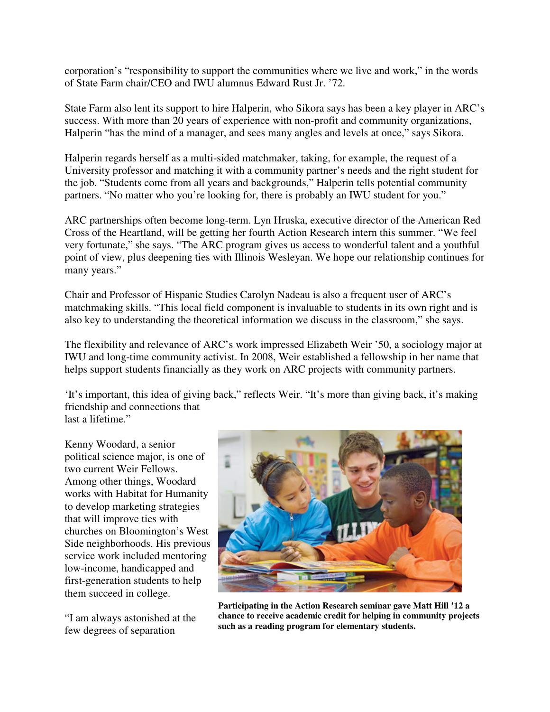corporation's "responsibility to support the communities where we live and work," in the words of State Farm chair/CEO and IWU alumnus Edward Rust Jr. '72.

State Farm also lent its support to hire Halperin, who Sikora says has been a key player in ARC's success. With more than 20 years of experience with non-profit and community organizations, Halperin "has the mind of a manager, and sees many angles and levels at once," says Sikora.

Halperin regards herself as a multi-sided matchmaker, taking, for example, the request of a University professor and matching it with a community partner's needs and the right student for the job. "Students come from all years and backgrounds," Halperin tells potential community partners. "No matter who you're looking for, there is probably an IWU student for you."

ARC partnerships often become long-term. Lyn Hruska, executive director of the American Red Cross of the Heartland, will be getting her fourth Action Research intern this summer. "We feel very fortunate," she says. "The ARC program gives us access to wonderful talent and a youthful point of view, plus deepening ties with Illinois Wesleyan. We hope our relationship continues for many years."

Chair and Professor of Hispanic Studies Carolyn Nadeau is also a frequent user of ARC's matchmaking skills. "This local field component is invaluable to students in its own right and is also key to understanding the theoretical information we discuss in the classroom," she says.

The flexibility and relevance of ARC's work impressed Elizabeth Weir '50, a sociology major at IWU and long-time community activist. In 2008, Weir established a fellowship in her name that helps support students financially as they work on ARC projects with community partners.

'It's important, this idea of giving back," reflects Weir. "It's more than giving back, it's making friendship and connections that last a lifetime."

Kenny Woodard, a senior political science major, is one of two current Weir Fellows. Among other things, Woodard works with Habitat for Humanity to develop marketing strategies that will improve ties with churches on Bloomington's West Side neighborhoods. His previous service work included mentoring low-income, handicapped and first-generation students to help them succeed in college.

"I am always astonished at the few degrees of separation



**Participating in the Action Research seminar gave Matt Hill '12 a chance to receive academic credit for helping in community projects such as a reading program for elementary students.**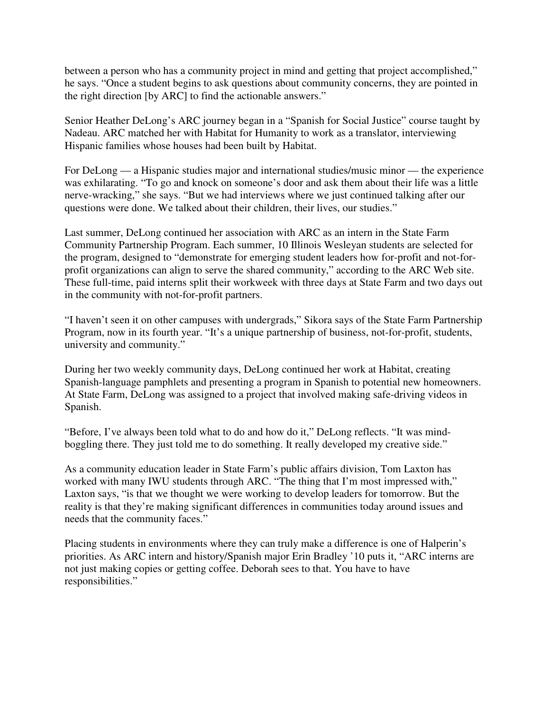between a person who has a community project in mind and getting that project accomplished," he says. "Once a student begins to ask questions about community concerns, they are pointed in the right direction [by ARC] to find the actionable answers."

Senior Heather DeLong's ARC journey began in a "Spanish for Social Justice" course taught by Nadeau. ARC matched her with Habitat for Humanity to work as a translator, interviewing Hispanic families whose houses had been built by Habitat.

For DeLong — a Hispanic studies major and international studies/music minor — the experience was exhilarating. "To go and knock on someone's door and ask them about their life was a little nerve-wracking," she says. "But we had interviews where we just continued talking after our questions were done. We talked about their children, their lives, our studies."

Last summer, DeLong continued her association with ARC as an intern in the State Farm Community Partnership Program. Each summer, 10 Illinois Wesleyan students are selected for the program, designed to "demonstrate for emerging student leaders how for-profit and not-forprofit organizations can align to serve the shared community," according to the ARC Web site. These full-time, paid interns split their workweek with three days at State Farm and two days out in the community with not-for-profit partners.

"I haven't seen it on other campuses with undergrads," Sikora says of the State Farm Partnership Program, now in its fourth year. "It's a unique partnership of business, not-for-profit, students, university and community."

During her two weekly community days, DeLong continued her work at Habitat, creating Spanish-language pamphlets and presenting a program in Spanish to potential new homeowners. At State Farm, DeLong was assigned to a project that involved making safe-driving videos in Spanish.

"Before, I've always been told what to do and how do it," DeLong reflects. "It was mindboggling there. They just told me to do something. It really developed my creative side."

As a community education leader in State Farm's public affairs division, Tom Laxton has worked with many IWU students through ARC. "The thing that I'm most impressed with," Laxton says, "is that we thought we were working to develop leaders for tomorrow. But the reality is that they're making significant differences in communities today around issues and needs that the community faces."

Placing students in environments where they can truly make a difference is one of Halperin's priorities. As ARC intern and history/Spanish major Erin Bradley '10 puts it, "ARC interns are not just making copies or getting coffee. Deborah sees to that. You have to have responsibilities."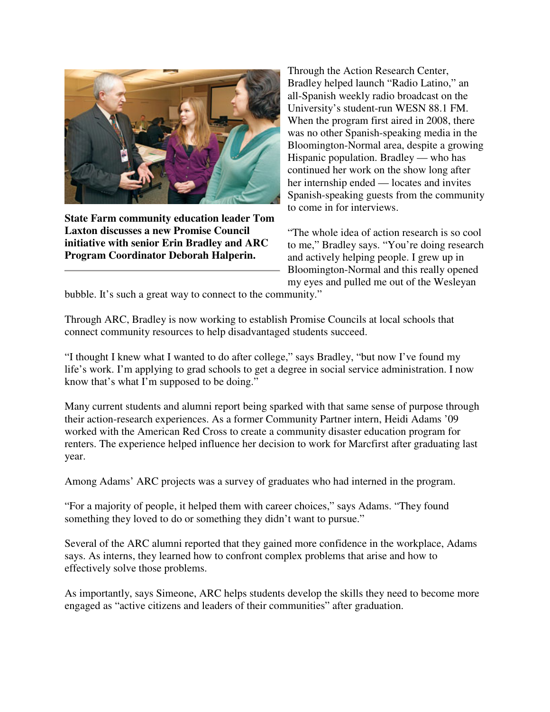

**State Farm community education leader Tom Laxton discusses a new Promise Council initiative with senior Erin Bradley and ARC Program Coordinator Deborah Halperin.**

Through the Action Research Center, Bradley helped launch "Radio Latino," an all-Spanish weekly radio broadcast on the University's student-run WESN 88.1 FM. When the program first aired in 2008, there was no other Spanish-speaking media in the Bloomington-Normal area, despite a growing Hispanic population. Bradley — who has continued her work on the show long after her internship ended — locates and invites Spanish-speaking guests from the community to come in for interviews.

"The whole idea of action research is so cool to me," Bradley says. "You're doing research and actively helping people. I grew up in Bloomington-Normal and this really opened my eyes and pulled me out of the Wesleyan

bubble. It's such a great way to connect to the community."

Through ARC, Bradley is now working to establish Promise Councils at local schools that connect community resources to help disadvantaged students succeed.

"I thought I knew what I wanted to do after college," says Bradley, "but now I've found my life's work. I'm applying to grad schools to get a degree in social service administration. I now know that's what I'm supposed to be doing."

Many current students and alumni report being sparked with that same sense of purpose through their action-research experiences. As a former Community Partner intern, Heidi Adams '09 worked with the American Red Cross to create a community disaster education program for renters. The experience helped influence her decision to work for Marcfirst after graduating last year.

Among Adams' ARC projects was a survey of graduates who had interned in the program.

"For a majority of people, it helped them with career choices," says Adams. "They found something they loved to do or something they didn't want to pursue."

Several of the ARC alumni reported that they gained more confidence in the workplace, Adams says. As interns, they learned how to confront complex problems that arise and how to effectively solve those problems.

As importantly, says Simeone, ARC helps students develop the skills they need to become more engaged as "active citizens and leaders of their communities" after graduation.